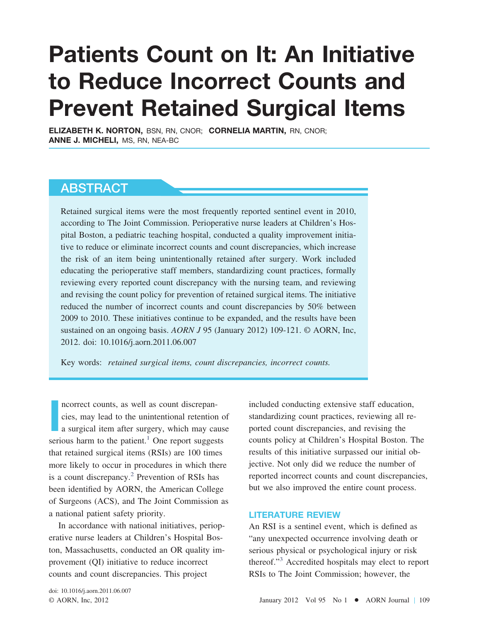# **Patients Count on It: An Initiative to Reduce Incorrect Counts and Prevent Retained Surgical Items**

**ELIZABETH K. NORTON,** BSN, RN, CNOR; **CORNELIA MARTIN,** RN, CNOR; **ANNE J. MICHELI,** MS, RN, NEA-BC

### **ABSTRACT**

Retained surgical items were the most frequently reported sentinel event in 2010, according to The Joint Commission. Perioperative nurse leaders at Children's Hospital Boston, a pediatric teaching hospital, conducted a quality improvement initiative to reduce or eliminate incorrect counts and count discrepancies, which increase the risk of an item being unintentionally retained after surgery. Work included educating the perioperative staff members, standardizing count practices, formally reviewing every reported count discrepancy with the nursing team, and reviewing and revising the count policy for prevention of retained surgical items. The initiative reduced the number of incorrect counts and count discrepancies by 50% between 2009 to 2010. These initiatives continue to be expanded, and the results have been sustained on an ongoing basis. *AORN J* 95 (January 2012) 109-121. © AORN, Inc, 2012. doi: 10.1016/j.aorn.2011.06.007

Key words: *retained surgical items, count discrepancies, incorrect counts.*

**I** ncorrect counts, as well as count discrepancies, may lead to the unintentional retention of a surgical item after surgery, which may cause serious harm to the patient. $<sup>1</sup>$  $<sup>1</sup>$  $<sup>1</sup>$  One report suggests</sup> that retained surgical items (RSIs) are 100 times more likely to occur in procedures in which there is a count discrepancy. $^{2}$  Prevention of RSIs has been identified by AORN, the American College of Surgeons (ACS), and The Joint Commission as a national patient safety priority.

In accordance with national initiatives, perioperative nurse leaders at Children's Hospital Boston, Massachusetts, conducted an OR quality improvement (QI) initiative to reduce incorrect counts and count discrepancies. This project

included conducting extensive staff education, standardizing count practices, reviewing all reported count discrepancies, and revising the counts policy at Children's Hospital Boston. The results of this initiative surpassed our initial objective. Not only did we reduce the number of reported incorrect counts and count discrepancies, but we also improved the entire count process.

#### **LITERATURE REVIEW**

An RSI is a sentinel event, which is defined as "any unexpected occurrence involving death or serious physical or psychological injury or risk thereof."[3](#page-11-0) Accredited hospitals may elect to report RSIs to The Joint Commission; however, the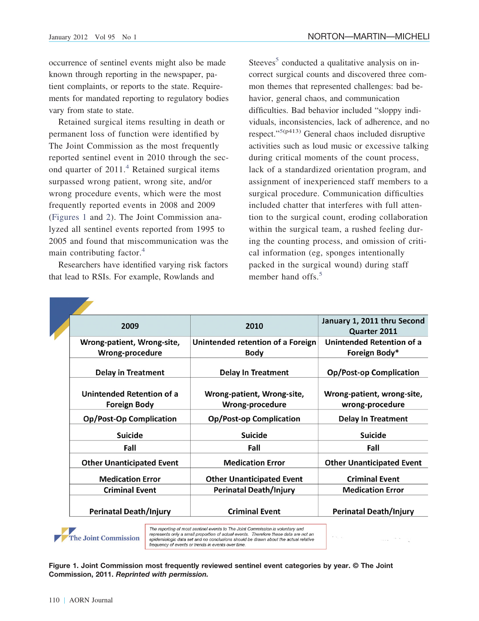occurrence of sentinel events might also be made known through reporting in the newspaper, patient complaints, or reports to the state. Requirements for mandated reporting to regulatory bodies vary from state to state.

Retained surgical items resulting in death or permanent loss of function were identified by The Joint Commission as the most frequently reported sentinel event in 2010 through the sec-ond quarter of 2011.<sup>[4](#page-11-4)</sup> Retained surgical items surpassed wrong patient, wrong site, and/or wrong procedure events, which were the most frequently reported events in 2008 and 2009 [\(Figures 1](#page-1-0) and [2\)](#page-2-0). The Joint Commission analyzed all sentinel events reported from 1995 to 2005 and found that miscommunication was the main contributing factor. $4$ 

Researchers have identified varying risk factors that lead to RSIs. For example, Rowlands and

Steeves<sup>[5](#page-11-3)</sup> conducted a qualitative analysis on incorrect surgical counts and discovered three common themes that represented challenges: bad behavior, general chaos, and communication difficulties. Bad behavior included "sloppy individuals, inconsistencies, lack of adherence, and no respect."<sup>5(p413)</sup> General chaos included disruptive activities such as loud music or excessive talking during critical moments of the count process, lack of a standardized orientation program, and assignment of inexperienced staff members to a surgical procedure. Communication difficulties included chatter that interferes with full attention to the surgical count, eroding collaboration within the surgical team, a rushed feeling during the counting process, and omission of critical information (eg, sponges intentionally packed in the surgical wound) during staff member hand offs. $5$ 

| 2009                                             | 2010                                          | January 1, 2011 thru Second<br>Quarter 2011   |
|--------------------------------------------------|-----------------------------------------------|-----------------------------------------------|
| Wrong-patient, Wrong-site,                       | Unintended retention of a Foreign             | Unintended Retention of a                     |
| Wrong-procedure                                  | <b>Body</b>                                   | Foreign Body*                                 |
| <b>Delay in Treatment</b>                        | <b>Delay In Treatment</b>                     | <b>Op/Post-op Complication</b>                |
| Unintended Retention of a<br><b>Foreign Body</b> | Wrong-patient, Wrong-site,<br>Wrong-procedure | Wrong-patient, wrong-site,<br>wrong-procedure |
| <b>Op/Post-Op Complication</b>                   | <b>Op/Post-op Complication</b>                | <b>Delay In Treatment</b>                     |
| <b>Suicide</b>                                   | <b>Suicide</b>                                | <b>Suicide</b>                                |
| Fall                                             | Fall                                          | Fall                                          |
| <b>Other Unanticipated Event</b>                 | <b>Medication Error</b>                       | <b>Other Unanticipated Event</b>              |
| <b>Medication Error</b>                          | <b>Other Unanticipated Event</b>              | <b>Criminal Event</b>                         |
| <b>Criminal Event</b>                            | <b>Perinatal Death/Injury</b>                 | <b>Medication Error</b>                       |
| <b>Perinatal Death/Injury</b>                    | <b>Criminal Event</b>                         | <b>Perinatal Death/Injury</b>                 |

<span id="page-1-0"></span>The Joint Commission

The reporting of most sentinel events to The Joint Commission is voluntary and represents only a small proportion of actual events. Therefore these data are not an epidemiologic data set and no conclusions should be drawn about the actual relative<br>frequency of events or trends in events over time.

**Figure 1. Joint Commission most frequently reviewed sentinel event categories by year. © The Joint Commission, 2011.** *Reprinted with permission.*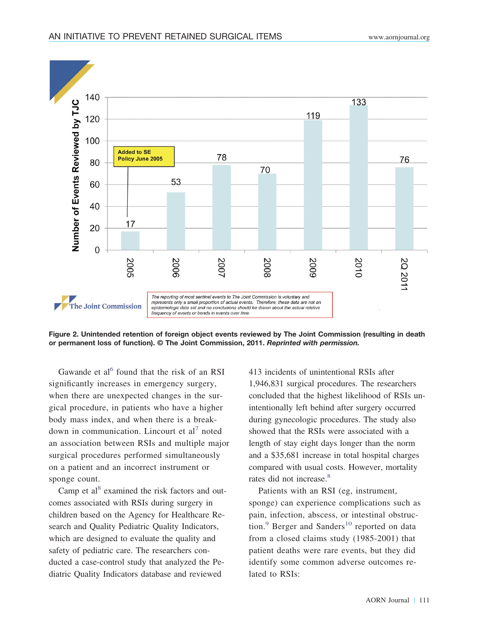

<span id="page-2-0"></span>**Figure 2. Unintended retention of foreign object events reviewed by The Joint Commission (resulting in death or permanent loss of function). © The Joint Commission, 2011.** *Reprinted with permission.*

Gawande et al<sup> $6$ </sup> found that the risk of an RSI significantly increases in emergency surgery, when there are unexpected changes in the surgical procedure, in patients who have a higher body mass index, and when there is a breakdown in communication. Lincourt et  $al^7$  $al^7$  noted an association between RSIs and multiple major surgical procedures performed simultaneously on a patient and an incorrect instrument or sponge count.

Camp et  $al^8$  examined the risk factors and outcomes associated with RSIs during surgery in children based on the Agency for Healthcare Research and Quality Pediatric Quality Indicators, which are designed to evaluate the quality and safety of pediatric care. The researchers conducted a case-control study that analyzed the Pediatric Quality Indicators database and reviewed

413 incidents of unintentional RSIs after 1,946,831 surgical procedures. The researchers concluded that the highest likelihood of RSIs unintentionally left behind after surgery occurred during gynecologic procedures. The study also showed that the RSIs were associated with a length of stay eight days longer than the norm and a \$35,681 increase in total hospital charges compared with usual costs. However, mortality rates did not increase.<sup>8</sup>

Patients with an RSI (eg, instrument, sponge) can experience complications such as pain, infection, abscess, or intestinal obstruction. $9$  Berger and Sanders<sup>[10](#page-11-5)</sup> reported on data from a closed claims study (1985-2001) that patient deaths were rare events, but they did identify some common adverse outcomes related to RSIs: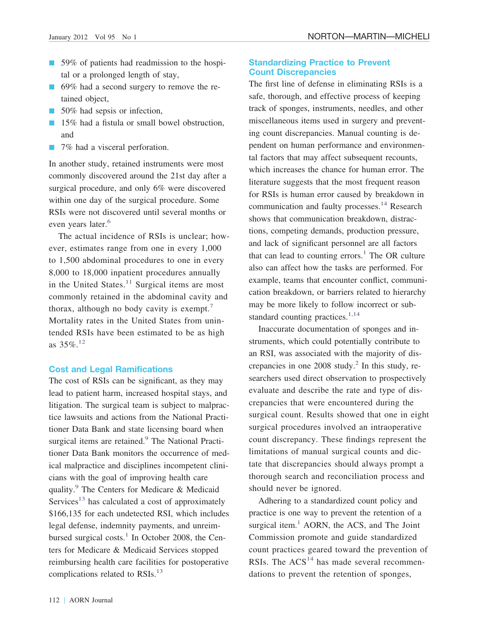- 59% of patients had readmission to the hospital or a prolonged length of stay,
- 69% had a second surgery to remove the retained object,
- 50% had sepsis or infection,
- **15%** had a fistula or small bowel obstruction, and
- **12.** 7% had a visceral perforation.

In another study, retained instruments were most commonly discovered around the 21st day after a surgical procedure, and only 6% were discovered within one day of the surgical procedure. Some RSIs were not discovered until several months or even years later.<sup>[6](#page-11-6)</sup>

The actual incidence of RSIs is unclear; however, estimates range from one in every 1,000 to 1,500 abdominal procedures to one in every 8,000 to 18,000 inpatient procedures annually in the United States. $11$  Surgical items are most commonly retained in the abdominal cavity and thorax, although no body cavity is exempt.[7](#page-11-7) Mortality rates in the United States from unintended RSIs have been estimated to be as high as 35%.[12](#page-11-12)

#### **Cost and Legal Ramifications**

The cost of RSIs can be significant, as they may lead to patient harm, increased hospital stays, and litigation. The surgical team is subject to malpractice lawsuits and actions from the National Practitioner Data Bank and state licensing board when surgical items are retained.<sup>9</sup> The National Practitioner Data Bank monitors the occurrence of medical malpractice and disciplines incompetent clinicians with the goal of improving health care quality.[9](#page-11-9) The Centers for Medicare & Medicaid Services<sup>13</sup> has calculated a cost of approximately \$166,135 for each undetected RSI, which includes legal defense, indemnity payments, and unreimbursed surgical costs. $1$  In October 2008, the Centers for Medicare & Medicaid Services stopped reimbursing health care facilities for postoperative complications related to RSIs.<sup>13</sup>

#### **Standardizing Practice to Prevent Count Discrepancies**

The first line of defense in eliminating RSIs is a safe, thorough, and effective process of keeping track of sponges, instruments, needles, and other miscellaneous items used in surgery and preventing count discrepancies. Manual counting is dependent on human performance and environmental factors that may affect subsequent recounts, which increases the chance for human error. The literature suggests that the most frequent reason for RSIs is human error caused by breakdown in communication and faulty processes.<sup>14</sup> Research shows that communication breakdown, distractions, competing demands, production pressure, and lack of significant personnel are all factors that can lead to counting errors.<sup>1</sup> The OR culture also can affect how the tasks are performed. For example, teams that encounter conflict, communication breakdown, or barriers related to hierarchy may be more likely to follow incorrect or substandard counting practices. $1,14$ 

Inaccurate documentation of sponges and instruments, which could potentially contribute to an RSI, was associated with the majority of discrepancies in one 2008 study.<sup>2</sup> In this study, researchers used direct observation to prospectively evaluate and describe the rate and type of discrepancies that were encountered during the surgical count. Results showed that one in eight surgical procedures involved an intraoperative count discrepancy. These findings represent the limitations of manual surgical counts and dictate that discrepancies should always prompt a thorough search and reconciliation process and should never be ignored.

Adhering to a standardized count policy and practice is one way to prevent the retention of a surgical item.<sup>1</sup> AORN, the ACS, and The Joint Commission promote and guide standardized count practices geared toward the prevention of RSIs. The  $ACS<sup>14</sup>$  $ACS<sup>14</sup>$  $ACS<sup>14</sup>$  has made several recommendations to prevent the retention of sponges,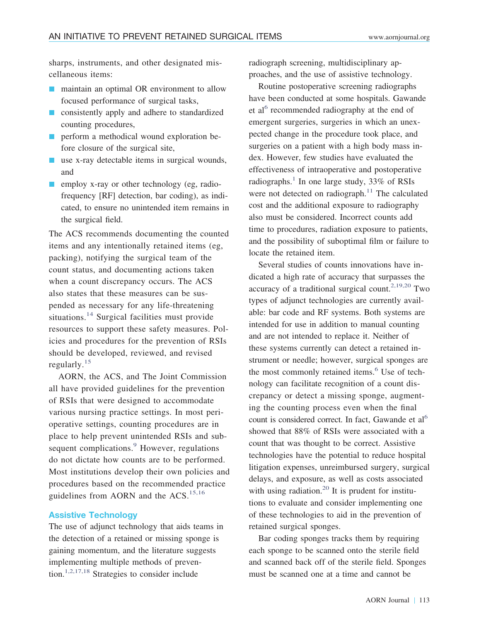sharps, instruments, and other designated miscellaneous items:

- **n** maintain an optimal OR environment to allow focused performance of surgical tasks,
- **E** consistently apply and adhere to standardized counting procedures,
- **P** perform a methodical wound exploration before closure of the surgical site,
- $\blacksquare$  use x-ray detectable items in surgical wounds, and
- **E** employ x-ray or other technology (eg, radiofrequency [RF] detection, bar coding), as indicated, to ensure no unintended item remains in the surgical field.

The ACS recommends documenting the counted items and any intentionally retained items (eg, packing), notifying the surgical team of the count status, and documenting actions taken when a count discrepancy occurs. The ACS also states that these measures can be suspended as necessary for any life-threatening situations.<sup>[14](#page-11-10)</sup> Surgical facilities must provide resources to support these safety measures. Policies and procedures for the prevention of RSIs should be developed, reviewed, and revised regularly.[15](#page-11-15)

AORN, the ACS, and The Joint Commission all have provided guidelines for the prevention of RSIs that were designed to accommodate various nursing practice settings. In most perioperative settings, counting procedures are in place to help prevent unintended RSIs and sub-sequent complications.<sup>[9](#page-11-9)</sup> However, regulations do not dictate how counts are to be performed. Most institutions develop their own policies and procedures based on the recommended practice guidelines from AORN and the  $ACS$ .<sup>[15,16](#page-11-15)</sup>

#### **Assistive Technology**

The use of adjunct technology that aids teams in the detection of a retained or missing sponge is gaining momentum, and the literature suggests implementing multiple methods of prevention.[1,2,17,18](#page-11-1) Strategies to consider include

radiograph screening, multidisciplinary approaches, and the use of assistive technology.

Routine postoperative screening radiographs have been conducted at some hospitals. Gawande et al<sup>[6](#page-11-6)</sup> recommended radiography at the end of emergent surgeries, surgeries in which an unexpected change in the procedure took place, and surgeries on a patient with a high body mass index. However, few studies have evaluated the effectiveness of intraoperative and postoperative radiographs.<sup>1</sup> In one large study,  $33\%$  of RSIs were not detected on radiograph. $11$  The calculated cost and the additional exposure to radiography also must be considered. Incorrect counts add time to procedures, radiation exposure to patients, and the possibility of suboptimal film or failure to locate the retained item.

Several studies of counts innovations have indicated a high rate of accuracy that surpasses the accuracy of a traditional surgical count.<sup>2,19,20</sup> Two types of adjunct technologies are currently available: bar code and RF systems. Both systems are intended for use in addition to manual counting and are not intended to replace it. Neither of these systems currently can detect a retained instrument or needle; however, surgical sponges are the most commonly retained items.<sup>[6](#page-11-6)</sup> Use of technology can facilitate recognition of a count discrepancy or detect a missing sponge, augmenting the counting process even when the final count is considered correct. In fact, Gawande et  $al<sup>6</sup>$ showed that 88% of RSIs were associated with a count that was thought to be correct. Assistive technologies have the potential to reduce hospital litigation expenses, unreimbursed surgery, surgical delays, and exposure, as well as costs associated with using radiation.<sup>20</sup> It is prudent for institutions to evaluate and consider implementing one of these technologies to aid in the prevention of retained surgical sponges.

Bar coding sponges tracks them by requiring each sponge to be scanned onto the sterile field and scanned back off of the sterile field. Sponges must be scanned one at a time and cannot be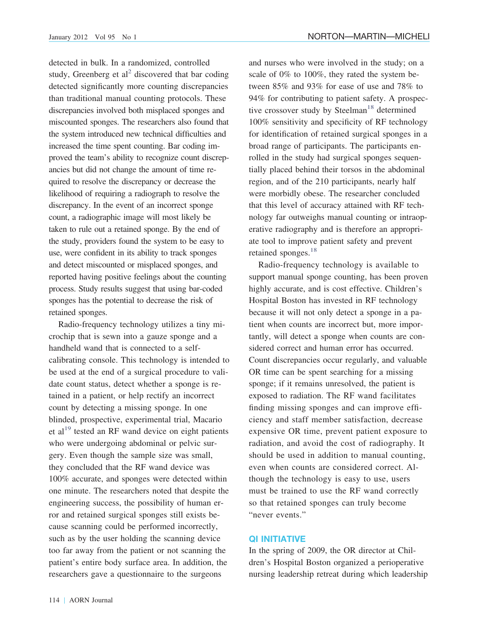detected in bulk. In a randomized, controlled study, Greenberg et al<sup>2</sup> discovered that bar coding detected significantly more counting discrepancies than traditional manual counting protocols. These discrepancies involved both misplaced sponges and miscounted sponges. The researchers also found that the system introduced new technical difficulties and increased the time spent counting. Bar coding improved the team's ability to recognize count discrepancies but did not change the amount of time required to resolve the discrepancy or decrease the likelihood of requiring a radiograph to resolve the discrepancy. In the event of an incorrect sponge count, a radiographic image will most likely be taken to rule out a retained sponge. By the end of the study, providers found the system to be easy to use, were confident in its ability to track sponges and detect miscounted or misplaced sponges, and reported having positive feelings about the counting process. Study results suggest that using bar-coded sponges has the potential to decrease the risk of retained sponges.

Radio-frequency technology utilizes a tiny microchip that is sewn into a gauze sponge and a handheld wand that is connected to a selfcalibrating console. This technology is intended to be used at the end of a surgical procedure to validate count status, detect whether a sponge is retained in a patient, or help rectify an incorrect count by detecting a missing sponge. In one blinded, prospective, experimental trial, Macario et al<sup>19</sup> tested an RF wand device on eight patients who were undergoing abdominal or pelvic surgery. Even though the sample size was small, they concluded that the RF wand device was 100% accurate, and sponges were detected within one minute. The researchers noted that despite the engineering success, the possibility of human error and retained surgical sponges still exists because scanning could be performed incorrectly, such as by the user holding the scanning device too far away from the patient or not scanning the patient's entire body surface area. In addition, the researchers gave a questionnaire to the surgeons

and nurses who were involved in the study; on a scale of 0% to 100%, they rated the system between 85% and 93% for ease of use and 78% to 94% for contributing to patient safety. A prospec-tive crossover study by Steelman<sup>[18](#page-11-16)</sup> determined 100% sensitivity and specificity of RF technology for identification of retained surgical sponges in a broad range of participants. The participants enrolled in the study had surgical sponges sequentially placed behind their torsos in the abdominal region, and of the 210 participants, nearly half were morbidly obese. The researcher concluded that this level of accuracy attained with RF technology far outweighs manual counting or intraoperative radiography and is therefore an appropriate tool to improve patient safety and prevent retained sponges. $18$ 

Radio-frequency technology is available to support manual sponge counting, has been proven highly accurate, and is cost effective. Children's Hospital Boston has invested in RF technology because it will not only detect a sponge in a patient when counts are incorrect but, more importantly, will detect a sponge when counts are considered correct and human error has occurred. Count discrepancies occur regularly, and valuable OR time can be spent searching for a missing sponge; if it remains unresolved, the patient is exposed to radiation. The RF wand facilitates finding missing sponges and can improve efficiency and staff member satisfaction, decrease expensive OR time, prevent patient exposure to radiation, and avoid the cost of radiography. It should be used in addition to manual counting, even when counts are considered correct. Although the technology is easy to use, users must be trained to use the RF wand correctly so that retained sponges can truly become "never events."

#### **QI INITIATIVE**

In the spring of 2009, the OR director at Children's Hospital Boston organized a perioperative nursing leadership retreat during which leadership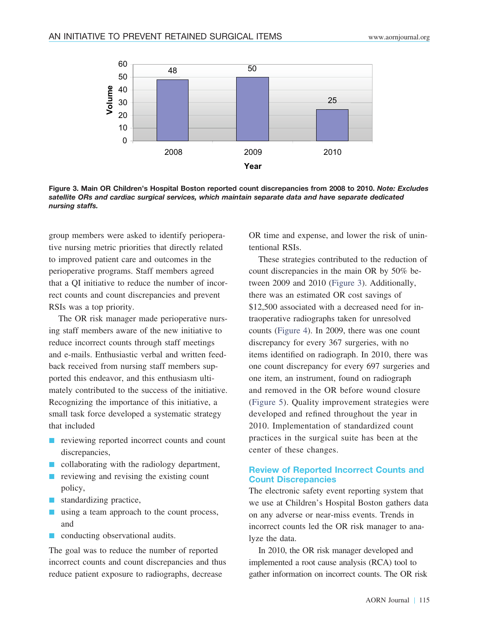

<span id="page-6-0"></span>**Figure 3. Main OR Children's Hospital Boston reported count discrepancies from 2008 to 2010.** *Note: Excludes satellite ORs and cardiac surgical services, which maintain separate data and have separate dedicated nursing staffs.*

group members were asked to identify perioperative nursing metric priorities that directly related to improved patient care and outcomes in the perioperative programs. Staff members agreed that a QI initiative to reduce the number of incorrect counts and count discrepancies and prevent RSIs was a top priority.

The OR risk manager made perioperative nursing staff members aware of the new initiative to reduce incorrect counts through staff meetings and e-mails. Enthusiastic verbal and written feedback received from nursing staff members supported this endeavor, and this enthusiasm ultimately contributed to the success of the initiative. Recognizing the importance of this initiative, a small task force developed a systematic strategy that included

- **n** reviewing reported incorrect counts and count discrepancies,
- $\blacksquare$  collaborating with the radiology department,
- $\blacksquare$  reviewing and revising the existing count policy,
- **I** standardizing practice,
- using a team approach to the count process, and
- **n** conducting observational audits.

The goal was to reduce the number of reported incorrect counts and count discrepancies and thus reduce patient exposure to radiographs, decrease

OR time and expense, and lower the risk of unintentional RSIs.

These strategies contributed to the reduction of count discrepancies in the main OR by 50% between 2009 and 2010 [\(Figure 3\)](#page-6-0). Additionally, there was an estimated OR cost savings of \$12,500 associated with a decreased need for intraoperative radiographs taken for unresolved counts [\(Figure 4\)](#page-7-1). In 2009, there was one count discrepancy for every 367 surgeries, with no items identified on radiograph. In 2010, there was one count discrepancy for every 697 surgeries and one item, an instrument, found on radiograph and removed in the OR before wound closure [\(Figure 5\)](#page-7-0). Quality improvement strategies were developed and refined throughout the year in 2010. Implementation of standardized count practices in the surgical suite has been at the center of these changes.

#### **Review of Reported Incorrect Counts and Count Discrepancies**

The electronic safety event reporting system that we use at Children's Hospital Boston gathers data on any adverse or near-miss events. Trends in incorrect counts led the OR risk manager to analyze the data.

In 2010, the OR risk manager developed and implemented a root cause analysis (RCA) tool to gather information on incorrect counts. The OR risk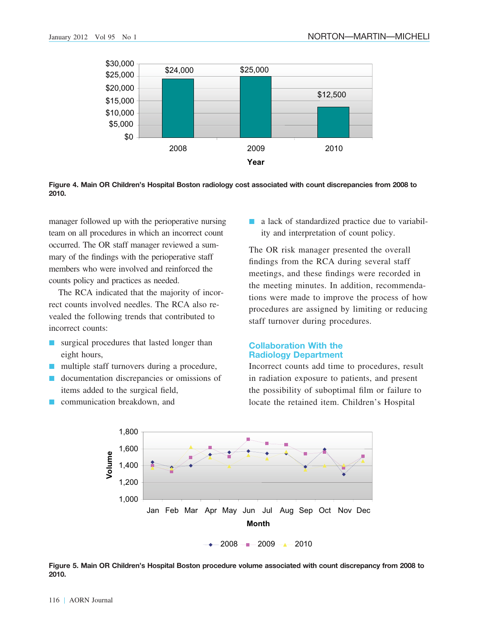

<span id="page-7-1"></span>**Figure 4. Main OR Children's Hospital Boston radiology cost associated with count discrepancies from 2008 to 2010.**

manager followed up with the perioperative nursing team on all procedures in which an incorrect count occurred. The OR staff manager reviewed a summary of the findings with the perioperative staff members who were involved and reinforced the counts policy and practices as needed.

The RCA indicated that the majority of incorrect counts involved needles. The RCA also revealed the following trends that contributed to incorrect counts:

- **Exercise 1** surgical procedures that lasted longer than eight hours,
- multiple staff turnovers during a procedure,
- **I** documentation discrepancies or omissions of items added to the surgical field,
- **E** communication breakdown, and

**a** lack of standardized practice due to variability and interpretation of count policy.

The OR risk manager presented the overall findings from the RCA during several staff meetings, and these findings were recorded in the meeting minutes. In addition, recommendations were made to improve the process of how procedures are assigned by limiting or reducing staff turnover during procedures.

#### **Collaboration With the Radiology Department**

Incorrect counts add time to procedures, result in radiation exposure to patients, and present the possibility of suboptimal film or failure to locate the retained item. Children's Hospital



<span id="page-7-0"></span>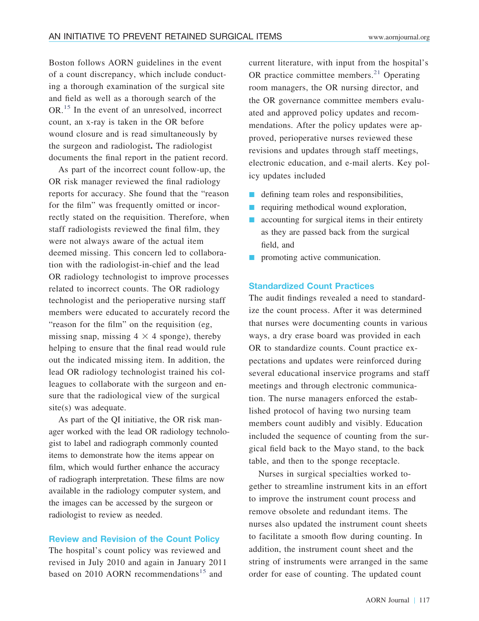Boston follows AORN guidelines in the event of a count discrepancy, which include conducting a thorough examination of the surgical site and field as well as a thorough search of the OR.[15](#page-11-15) In the event of an unresolved, incorrect count, an x-ray is taken in the OR before wound closure and is read simultaneously by the surgeon and radiologist**.** The radiologist documents the final report in the patient record.

As part of the incorrect count follow-up, the OR risk manager reviewed the final radiology reports for accuracy. She found that the "reason for the film" was frequently omitted or incorrectly stated on the requisition. Therefore, when staff radiologists reviewed the final film, they were not always aware of the actual item deemed missing. This concern led to collaboration with the radiologist-in-chief and the lead OR radiology technologist to improve processes related to incorrect counts. The OR radiology technologist and the perioperative nursing staff members were educated to accurately record the "reason for the film" on the requisition (eg, missing snap, missing  $4 \times 4$  sponge), thereby helping to ensure that the final read would rule out the indicated missing item. In addition, the lead OR radiology technologist trained his colleagues to collaborate with the surgeon and ensure that the radiological view of the surgical site(s) was adequate.

As part of the QI initiative, the OR risk manager worked with the lead OR radiology technologist to label and radiograph commonly counted items to demonstrate how the items appear on film, which would further enhance the accuracy of radiograph interpretation. These films are now available in the radiology computer system, and the images can be accessed by the surgeon or radiologist to review as needed.

#### **Review and Revision of the Count Policy**

The hospital's count policy was reviewed and revised in July 2010 and again in January 2011 based on 2010 AORN recommendations<sup>[15](#page-11-15)</sup> and

current literature, with input from the hospital's OR practice committee members. $21$  Operating room managers, the OR nursing director, and the OR governance committee members evaluated and approved policy updates and recommendations. After the policy updates were approved, perioperative nurses reviewed these revisions and updates through staff meetings, electronic education, and e-mail alerts. Key policy updates included

- **I** defining team roles and responsibilities,
- **n** requiring methodical wound exploration,
- **E** accounting for surgical items in their entirety as they are passed back from the surgical field, and
- **n** promoting active communication.

#### **Standardized Count Practices**

The audit findings revealed a need to standardize the count process. After it was determined that nurses were documenting counts in various ways, a dry erase board was provided in each OR to standardize counts. Count practice expectations and updates were reinforced during several educational inservice programs and staff meetings and through electronic communication. The nurse managers enforced the established protocol of having two nursing team members count audibly and visibly. Education included the sequence of counting from the surgical field back to the Mayo stand, to the back table, and then to the sponge receptacle.

Nurses in surgical specialties worked together to streamline instrument kits in an effort to improve the instrument count process and remove obsolete and redundant items. The nurses also updated the instrument count sheets to facilitate a smooth flow during counting. In addition, the instrument count sheet and the string of instruments were arranged in the same order for ease of counting. The updated count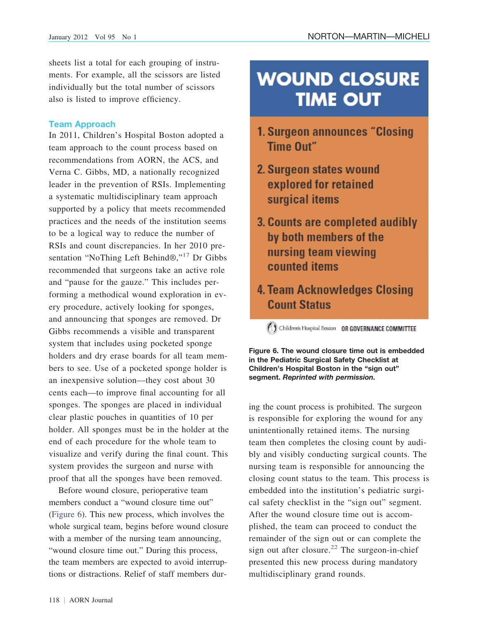sheets list a total for each grouping of instruments. For example, all the scissors are listed individually but the total number of scissors also is listed to improve efficiency.

#### **Team Approach**

In 2011, Children's Hospital Boston adopted a team approach to the count process based on recommendations from AORN, the ACS, and Verna C. Gibbs, MD, a nationally recognized leader in the prevention of RSIs. Implementing a systematic multidisciplinary team approach supported by a policy that meets recommended practices and the needs of the institution seems to be a logical way to reduce the number of RSIs and count discrepancies. In her 2010 pre-sentation "NoThing Left Behind®,"<sup>[17](#page-11-20)</sup> Dr Gibbs recommended that surgeons take an active role and "pause for the gauze." This includes performing a methodical wound exploration in every procedure, actively looking for sponges, and announcing that sponges are removed. Dr Gibbs recommends a visible and transparent system that includes using pocketed sponge holders and dry erase boards for all team members to see. Use of a pocketed sponge holder is an inexpensive solution—they cost about 30 cents each—to improve final accounting for all sponges. The sponges are placed in individual clear plastic pouches in quantities of 10 per holder. All sponges must be in the holder at the end of each procedure for the whole team to visualize and verify during the final count. This system provides the surgeon and nurse with proof that all the sponges have been removed.

Before wound closure, perioperative team members conduct a "wound closure time out" [\(Figure 6\)](#page-9-0). This new process, which involves the whole surgical team, begins before wound closure with a member of the nursing team announcing, "wound closure time out." During this process, the team members are expected to avoid interruptions or distractions. Relief of staff members dur-

## **WOUND CLOSURE TIME OUT**

- 1. Surgeon announces "Closing Time Out"
- 2. Surgeon states wound explored for retained surgical items
- 3. Counts are completed audibly by both members of the nursing team viewing counted items
- 4. Team Acknowledges Closing **Count Status**

(C) Children's Hospital Boston OR GOVERNANCE COMMITTEE

<span id="page-9-0"></span>**Figure 6. The wound closure time out is embedded in the Pediatric Surgical Safety Checklist at Children's Hospital Boston in the "sign out" segment.** *Reprinted with permission.*

ing the count process is prohibited. The surgeon is responsible for exploring the wound for any unintentionally retained items. The nursing team then completes the closing count by audibly and visibly conducting surgical counts. The nursing team is responsible for announcing the closing count status to the team. This process is embedded into the institution's pediatric surgical safety checklist in the "sign out" segment. After the wound closure time out is accomplished, the team can proceed to conduct the remainder of the sign out or can complete the sign out after closure.<sup>[22](#page-11-19)</sup> The surgeon-in-chief presented this new process during mandatory multidisciplinary grand rounds.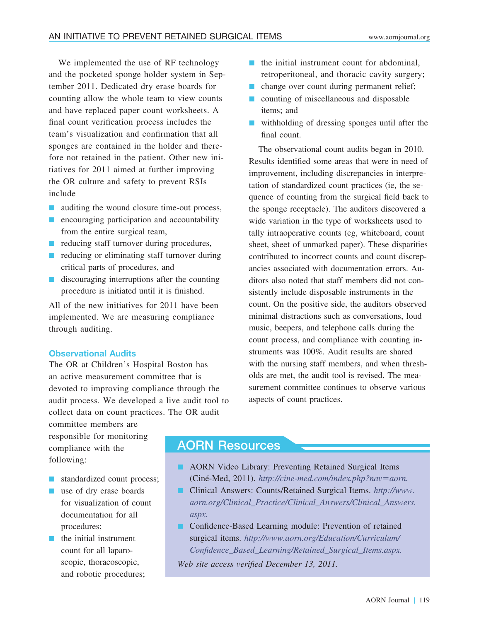We implemented the use of RF technology and the pocketed sponge holder system in September 2011. Dedicated dry erase boards for counting allow the whole team to view counts and have replaced paper count worksheets. A final count verification process includes the team's visualization and confirmation that all sponges are contained in the holder and therefore not retained in the patient. Other new initiatives for 2011 aimed at further improving the OR culture and safety to prevent RSIs include

- auditing the wound closure time-out process,
- **E** encouraging participation and accountability from the entire surgical team,
- **n** reducing staff turnover during procedures,
- **I** reducing or eliminating staff turnover during critical parts of procedures, and
- **I** discouraging interruptions after the counting procedure is initiated until it is finished.

All of the new initiatives for 2011 have been implemented. We are measuring compliance through auditing.

#### **Observational Audits**

The OR at Children's Hospital Boston has an active measurement committee that is devoted to improving compliance through the audit process. We developed a live audit tool to collect data on count practices. The OR audit

committee members are responsible for monitoring compliance with the following:

- **I** standardized count process;
- **use of dry erase boards** for visualization of count documentation for all procedures;
- **I** the initial instrument count for all laparoscopic, thoracoscopic, and robotic procedures;
- $\blacksquare$  the initial instrument count for abdominal, retroperitoneal, and thoracic cavity surgery;
- **n** change over count during permanent relief;
- $\blacksquare$  counting of miscellaneous and disposable items; and
- **u** withholding of dressing sponges until after the final count.

The observational count audits began in 2010. Results identified some areas that were in need of improvement, including discrepancies in interpretation of standardized count practices (ie, the sequence of counting from the surgical field back to the sponge receptacle). The auditors discovered a wide variation in the type of worksheets used to tally intraoperative counts (eg, whiteboard, count sheet, sheet of unmarked paper). These disparities contributed to incorrect counts and count discrepancies associated with documentation errors. Auditors also noted that staff members did not consistently include disposable instruments in the count. On the positive side, the auditors observed minimal distractions such as conversations, loud music, beepers, and telephone calls during the count process, and compliance with counting instruments was 100%. Audit results are shared with the nursing staff members, and when thresholds are met, the audit tool is revised. The measurement committee continues to observe various aspects of count practices.

## AORN Resources

- **E.** AORN Video Library: Preventing Retained Surgical Items (Ciné-Med, 2011). *[http://cine-med.com/index.php?nav](http://cine-med.com/index.php?nav=aorn)=aorn.*
- Clinical Answers: Counts/Retained Surgical Items. *[http://www.](http://www.aorn.org/Clinical_Practice/Clinical_Answers/Clinical_Answers.aspx) [aorn.org/Clinical\\_Practice/Clinical\\_Answers/Clinical\\_Answers.](http://www.aorn.org/Clinical_Practice/Clinical_Answers/Clinical_Answers.aspx) [aspx.](http://www.aorn.org/Clinical_Practice/Clinical_Answers/Clinical_Answers.aspx)*
- Confidence-Based Learning module: Prevention of retained surgical items. *[http://www.aorn.org/Education/Curriculum/](http://www.aorn.org/Education/Curriculum/Confidence_Based_Learning/Retained_Surgical_Items.aspx) [Confidence\\_Based\\_Learning/Retained\\_Surgical\\_Items.aspx.](http://www.aorn.org/Education/Curriculum/Confidence_Based_Learning/Retained_Surgical_Items.aspx)*

*Web site access verified December 13, 2011.*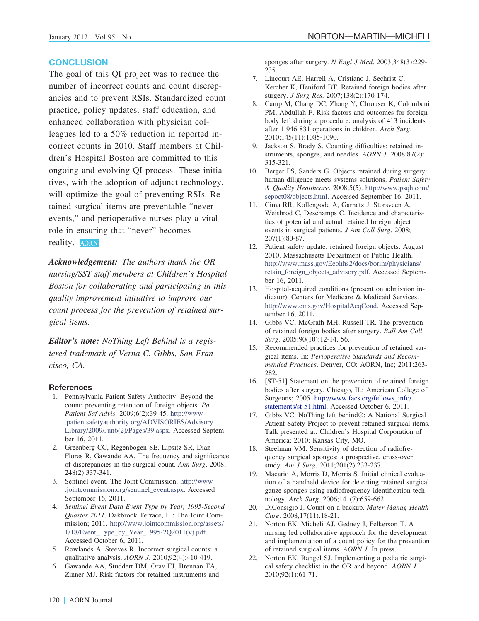#### **CONCLUSION**

The goal of this QI project was to reduce the number of incorrect counts and count discrepancies and to prevent RSIs. Standardized count practice, policy updates, staff education, and enhanced collaboration with physician colleagues led to a 50% reduction in reported incorrect counts in 2010. Staff members at Children's Hospital Boston are committed to this ongoing and evolving QI process. These initiatives, with the adoption of adjunct technology, will optimize the goal of preventing RSIs. Retained surgical items are preventable "never events," and perioperative nurses play a vital role in ensuring that "never" becomes reality. AORN

*Acknowledgement: The authors thank the OR nursing/SST staff members at Children's Hospital Boston for collaborating and participating in this quality improvement initiative to improve our count process for the prevention of retained surgical items.*

*Editor's note: NoThing Left Behind is a registered trademark of Verna C. Gibbs, San Francisco, CA.*

#### <span id="page-11-1"></span>**References**

- 1. Pennsylvania Patient Safety Authority. Beyond the count: preventing retention of foreign objects. *Pa Patient Saf Advis*. 2009;6(2):39-45. [http://www](http://www.patientsafetyauthority.org/ADVISORIES/AdvisoryLibrary/2009/Jun6(2)/Pages/39.aspx) [.patientsafetyauthority.org/ADVISORIES/Advisory](http://www.patientsafetyauthority.org/ADVISORIES/AdvisoryLibrary/2009/Jun6(2)/Pages/39.aspx) [Library/2009/Jun6\(2\)/Pages/39.aspx.](http://www.patientsafetyauthority.org/ADVISORIES/AdvisoryLibrary/2009/Jun6(2)/Pages/39.aspx) Accessed September 16, 2011.
- <span id="page-11-2"></span><span id="page-11-0"></span>2. Greenberg CC, Regenbogen SE, Lipsitz SR, Diaz-Flores R, Gawande AA. The frequency and significance of discrepancies in the surgical count. *Ann Surg*. 2008; 248(2):337-341.
- <span id="page-11-4"></span>3. Sentinel event. The Joint Commission. [http://www](http://www.jointcommission.org/sentinel_event.aspx) [.jointcommission.org/sentinel\\_event.aspx.](http://www.jointcommission.org/sentinel_event.aspx) Accessed September 16, 2011.
- 4. *Sentinel Event Data Event Type by Year, 1995-Second Quarter 2011*. Oakbrook Terrace, IL: The Joint Commission; 2011. [http://www.jointcommission.org/assets/](http://www.jointcommission.org/assets/1/18/Event_Type_by_Year_1995-2Q2011(v).pdf) [1/18/Event\\_Type\\_by\\_Year\\_1995-2Q2011\(v\).pdf.](http://www.jointcommission.org/assets/1/18/Event_Type_by_Year_1995-2Q2011(v).pdf) Accessed October 6, 2011.
- <span id="page-11-6"></span><span id="page-11-3"></span>5. Rowlands A, Steeves R. Incorrect surgical counts: a qualitative analysis. *AORN J*. 2010;92(4):410-419.
- 6. Gawande AA, Studdert DM, Orav EJ, Brennan TA, Zinner MJ. Risk factors for retained instruments and

sponges after surgery. *N Engl J Med*. 2003;348(3):229- 235.

- <span id="page-11-8"></span><span id="page-11-7"></span>7. Lincourt AE, Harrell A, Cristiano J, Sechrist C, Kercher K, Heniford BT. Retained foreign bodies after surgery. *J Surg Res*. 2007;138(2):170-174.
- 8. Camp M, Chang DC, Zhang Y, Chrouser K, Colombani PM, Abdullah F. Risk factors and outcomes for foreign body left during a procedure: analysis of 413 incidents after 1 946 831 operations in children. *Arch Surg*. 2010;145(11):1085-1090.
- <span id="page-11-9"></span><span id="page-11-5"></span>9. Jackson S, Brady S. Counting difficulties: retained instruments, sponges, and needles. *AORN J*. 2008;87(2): 315-321.
- 10. Berger PS, Sanders G. Objects retained during surgery: human diligence meets systems solutions. *Patient Safety & Quality Healthcare*. 2008;5(5). [http://www.psqh.com/](http://www.psqh.com/sepoct08/objects.html) [sepoct08/objects.html.](http://www.psqh.com/sepoct08/objects.html) Accessed September 16, 2011.
- <span id="page-11-11"></span>11. Cima RR, Kollengode A, Garnatz J, Storsveen A, Weisbrod C, Deschamps C. Incidence and characteristics of potential and actual retained foreign object events in surgical patients. *J Am Coll Surg*. 2008; 207(1):80-87.
- <span id="page-11-12"></span>12. Patient safety update: retained foreign objects. August 2010. Massachusetts Department of Public Health. [http://www.mass.gov/Eeohhs2/docs/borim/physicians/](http://www.mass.gov/Eeohhs2/docs/borim/physicians/retain_foreign_objects_advisory.pdf) [retain\\_foreign\\_objects\\_advisory.pdf.](http://www.mass.gov/Eeohhs2/docs/borim/physicians/retain_foreign_objects_advisory.pdf) Accessed September 16, 2011.
- <span id="page-11-13"></span><span id="page-11-10"></span>13. Hospital-acquired conditions (present on admission indicator). Centers for Medicare & Medicaid Services. [http://www.cms.gov/HospitalAcqCond.](http://www.cms.gov/HospitalAcqCond) Accessed September 16, 2011.
- <span id="page-11-15"></span>14. Gibbs VC, McGrath MH, Russell TR. The prevention of retained foreign bodies after surgery. *Bull Am Coll Surg*. 2005;90(10):12-14, 56.
- 15. Recommended practices for prevention of retained surgical items. In: *Perioperative Standards and Recommended Practices*. Denver, CO: AORN, Inc; 2011:263- 282.
- <span id="page-11-20"></span>16. [ST-51] Statement on the prevention of retained foreign bodies after surgery. Chicago, IL: American College of Surgeons; 2005. [http://www.facs.org/fellows\\_info/](http://www.facs.org/fellows_info/statements/st-51.html) [statements/st-51.html.](http://www.facs.org/fellows_info/statements/st-51.html) Accessed October 6, 2011.
- <span id="page-11-16"></span>17. Gibbs VC. NoThing left behind®: A National Surgical Patient-Safety Project to prevent retained surgical items. Talk presented at: Children's Hospital Corporation of America; 2010; Kansas City, MO.
- <span id="page-11-17"></span>18. Steelman VM. Sensitivity of detection of radiofrequency surgical sponges: a prospective, cross-over study. *Am J Surg*. 2011;201(2):233-237.
- <span id="page-11-14"></span>19. Macario A, Morris D, Morris S. Initial clinical evaluation of a handheld device for detecting retained surgical gauze sponges using radiofrequency identification technology. *Arch Surg*. 2006;141(7):659-662.
- <span id="page-11-18"></span>20. DiConsigio J. Count on a backup. *Mater Manag Health Care*. 2008;17(11):18-21.
- <span id="page-11-19"></span>21. Norton EK, Micheli AJ, Gedney J, Felkerson T. A nursing led collaborative approach for the development and implementation of a count policy for the prevention of retained surgical items. *AORN J*. In press.
- 22. Norton EK, Rangel SJ. Implementing a pediatric surgical safety checklist in the OR and beyond. *AORN J*. 2010;92(1):61-71.